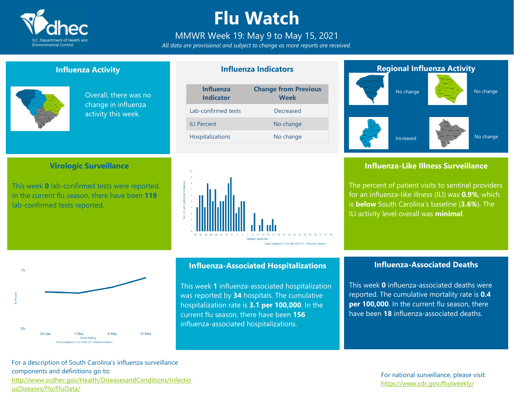

# **Flu Watch**

## MMWR Week 19: May 9 to May 15, 2021

*All data are provisional and subject to change as more reports are received.*

**Influenza Indicators**

### **Influenza Activity**

**Virologic Surveillance**

This week **0** lab-confirmed tests were reported. In the current flu season, there have been **119**

lab-confirmed tests reported.



Overall, there was no change in influenza activity this week.

| <b>Influenza</b><br><b>Indicator</b> | <b>Change from Previous</b><br><b>Week</b> |
|--------------------------------------|--------------------------------------------|
| Lab-confirmed tests                  | Decreased                                  |
| <b>ILI Percent</b>                   | No change                                  |
| Hospitalizations                     | No change                                  |
|                                      |                                            |



# **Regional Influenza Activity**



### **Influenza-Like Illness Surveillance**

The percent of patient visits to sentinel providers for an influenza-like illness (ILI) was **0.9%**, which is **below** South Carolina's baseline (**3.6%**). The ILI activity level overall was **minimal**.



### **Influenza-Associated Hospitalizations**

This week **1** influenza-associated hospitalization was reported by **34** hospitals. The cumulative hospitalization rate is **3.1 per 100,000**. In the current flu season, there have been **156** influenza-associated hospitalizations.

#### **Influenza-Associated Deaths**

This week **0** influenza-associated deaths were reported. The cumulative mortality rate is **0.4 per 100,000**. In the current flu season, there have been **18** influenza-associated deaths.

For a description of South Carolina's influenza surveillance components and definitions go to: [http://www.scdhec.gov/Health/DiseasesandConditions/Infectio](http://www.scdhec.gov/Health/DiseasesandConditions/InfectiousDiseases/Flu/FluData/) [usDiseases/Flu/FluData/](http://www.scdhec.gov/Health/DiseasesandConditions/InfectiousDiseases/Flu/FluData/)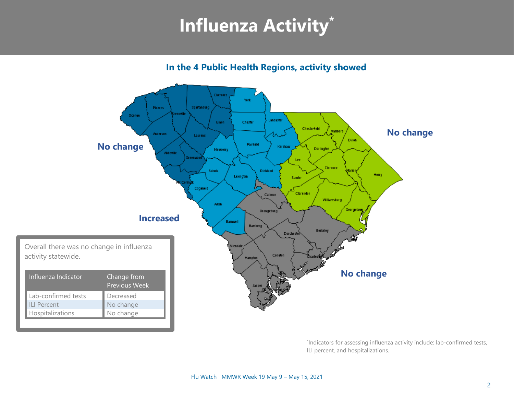# **Influenza Activity\***

**In the 4 Public Health Regions, activity showed**



\* Indicators for assessing influenza activity include: lab-confirmed tests, ILI percent, and hospitalizations.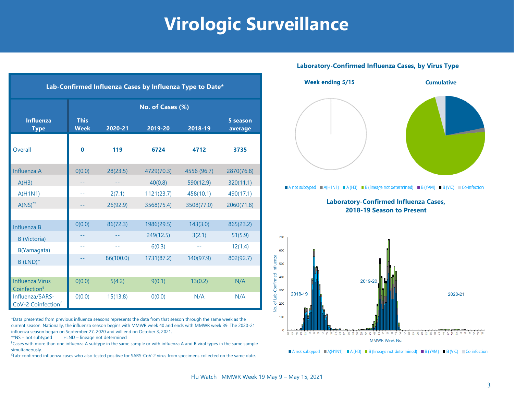# **Virologic Surveillance**

| Lab-Confirmed Influenza Cases by Influenza Type to Date* |                            |           |            |               |                     |  |  |  |  |
|----------------------------------------------------------|----------------------------|-----------|------------|---------------|---------------------|--|--|--|--|
|                                                          | No. of Cases (%)           |           |            |               |                     |  |  |  |  |
| <b>Influenza</b><br><b>Type</b>                          | <b>This</b><br><b>Week</b> | 2020-21   | 2019-20    | 2018-19       | 5 season<br>average |  |  |  |  |
| Overall                                                  | $\mathbf 0$                | 119       | 6724       | 4712          | 3735                |  |  |  |  |
| Influenza A                                              | O(0.0)                     | 28(23.5)  | 4729(70.3) | 4556 (96.7)   | 2870(76.8)          |  |  |  |  |
| A(H3)                                                    |                            |           | 40(0.8)    | 590(12.9)     | 320(11.1)           |  |  |  |  |
| A(H1N1)                                                  | 44                         | 2(7.1)    | 1121(23.7) | 458(10.1)     | 490(17.1)           |  |  |  |  |
| $A(NS)^{**}$                                             |                            | 26(92.9)  | 3568(75.4) | 3508(77.0)    | 2060(71.8)          |  |  |  |  |
|                                                          |                            |           |            |               |                     |  |  |  |  |
| Influenza B                                              | 0(0.0)                     | 86(72.3)  | 1986(29.5) | 143(3.0)      | 865(23.2)           |  |  |  |  |
| <b>B</b> (Victoria)                                      |                            |           | 249(12.5)  | 3(2.1)        | 51(5.9)             |  |  |  |  |
| B(Yamagata)                                              | --                         | $-1$      | 6(0.3)     | $\sim$ $\sim$ | 12(1.4)             |  |  |  |  |
| $B$ (LND) <sup>+</sup>                                   |                            | 86(100.0) | 1731(87.2) | 140(97.9)     | 802(92.7)           |  |  |  |  |
|                                                          |                            |           |            |               |                     |  |  |  |  |
| <b>Influenza Virus</b><br>Coinfection <sup>§</sup>       | O(0.0)                     | 5(4.2)    | 9(0.1)     | 13(0.2)       | N/A                 |  |  |  |  |
| Influenza/SARS-<br>CoV-2 Coinfection <sup>£</sup>        | 0(0.0)                     | 15(13.8)  | 0(0.0)     | N/A           | N/A                 |  |  |  |  |

\*Data presented from previous influenza seasons represents the data from that season through the same week as the current season. Nationally, the influenza season begins with MMWR week 40 and ends with MMWR week 39. The 2020-21 influenza season began on September 27, 2020 and will end on October 3, 2021.

 $**$ NS – not subtyped  $+LND$  – lineage not determined

§Cases with more than one influenza A subtype in the same sample or with influenza A and B viral types in the same sample simultaneously.

£ Lab-confirmed influenza cases who also tested positive for SARS-CoV-2 virus from specimens collected on the same date.

### **Laboratory-Confirmed Influenza Cases, by Virus Type**



A not subtyped  $A(H1N1) = A(H3) = B$  (lineage not determined) B (YAM) B (VIC) Co-infection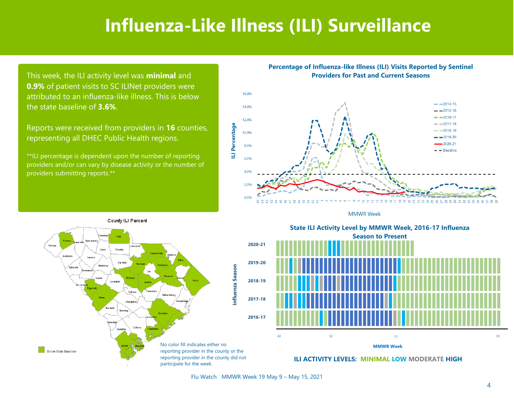# **Influenza-Like Illness (ILI) Surveillance**

This week, the ILI activity level was **minimal** and **0.9%** of patient visits to SC ILINet providers were attributed to an influenza-like illness. This is below the state baseline of **3.6%**.

Reports were received from providers in **16** counties, representing all DHEC Public Health regions.

\*\*ILI percentage is dependent upon the number of reporting providers and/or can vary by disease activity or the number of providers submitting reports.\*\*

#### **Percentage of Influenza-like Illness (ILI) Visits Reported by Sentinel Providers for Past and Current Seasons**



**MMWR Week** 



State ILI Activity Level by MMWR Week, 2016-17 Influenza **Season to Present** Season to Present **State ILI Activity Level by MMWR Week, 2016-17 Influenza**



**ILI ACTIVITY LEVELS: MINIMAL LOW MODERATE HIGH**

Flu Watch MMWR Week 19 May 9 – May 15, 2021